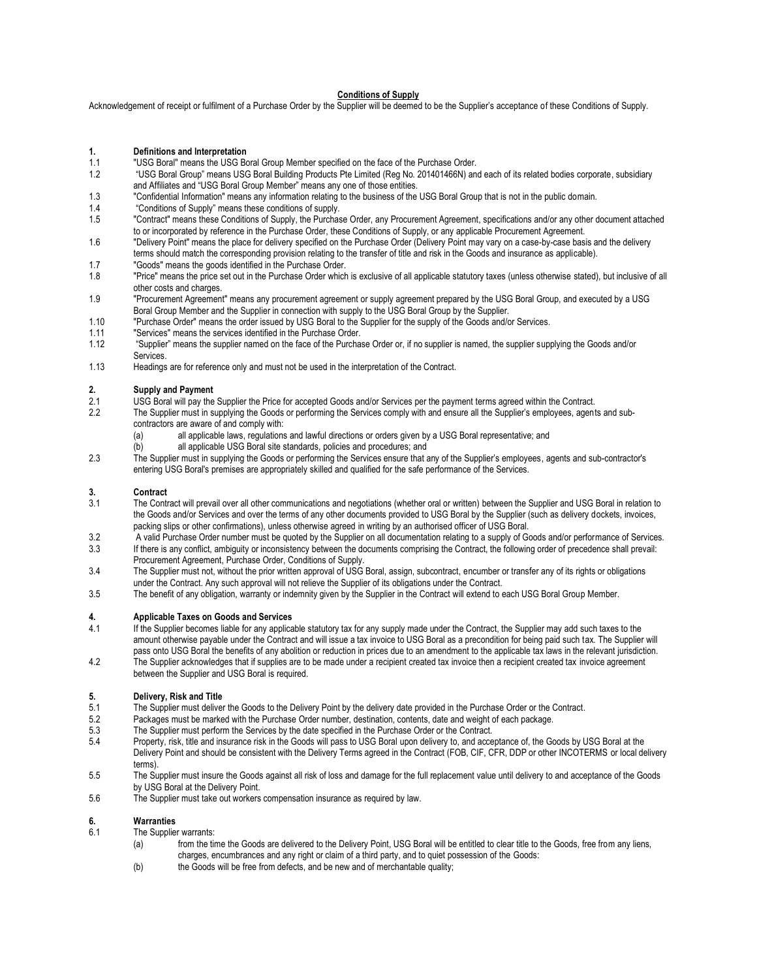### **Conditions of Supply**

Acknowledgement of receipt or fulfilment of a Purchase Order by the Supplier will be deemed to be the Supplier's acceptance of these Conditions of Supply.

- **1. Definitions and Interpretation**<br>11 **Illiens Example 2016 11**
- 1.1 "USG Boral" means the USG Boral Group Member specified on the face of the Purchase Order.<br>1.2 "USG Boral Group" means USG Boral Building Products Pte Limited (Reg No. 201401466N) and
- 1.2 "USG Boral Group" means USG Boral Building Products Pte Limited (Reg No. 201401466N) and each of its related bodies corporate, subsidiary and Affiliates and "USG Boral Group Member" means any one of those entities.
- 1.3 "Confidential Information" means any information relating to the business of the USG Boral Group that is not in the public domain.
- 1.4 "Conditions of Supply" means these conditions of supply.
- 1.5 "Contract" means these Conditions of Supply, the Purchase Order, any Procurement Agreement, specifications and/or any other document attached to or incorporated by reference in the Purchase Order, these Conditions of Supply, or any applicable Procurement Agreement.
- 1.6 "Delivery Point" means the place for delivery specified on the Purchase Order (Delivery Point may vary on a case-by-case basis and the delivery terms should match the corresponding provision relating to the transfer of title and risk in the Goods and insurance as applicable).
- 1.7 "Goods" means the goods identified in the Purchase Order.
- 1.8 "Price" means the price set out in the Purchase Order which is exclusive of all applicable statutory taxes (unless otherwise stated), but inclusive of all other costs and charges.
- 1.9 "Procurement Agreement" means any procurement agreement or supply agreement prepared by the USG Boral Group, and executed by a USG Boral Group Member and the Supplier in connection with supply to the USG Boral Group by the Supplier.
- 1.10 "Purchase Order" means the order issued by USG Boral to the Supplier for the supply of the Goods and/or Services.
- 1.11 "Services" means the services identified in the Purchase Order.
- 1.12 "Supplier" means the supplier named on the face of the Purchase Order or, if no supplier is named, the supplier supplying the Goods and/or Services.
- 1.13 Headings are for reference only and must not be used in the interpretation of the Contract.

#### **2. Supply and Payment**

- 2.1 USG Boral will pay the Supplier the Price for accepted Goods and/or Services per the payment terms agreed within the Contract.<br>2.2. The Supplier must in supplying the Goods or performing the Services comply with and en
- The Supplier must in supplying the Goods or performing the Services comply with and ensure all the Supplier's employees, agents and subcontractors are aware of and comply with:
	- (a) all applicable laws, regulations and lawful directions or orders given by a USG Boral representative; and
	- (b) all applicable USG Boral site standards, policies and procedures; and
- 2.3 The Supplier must in supplying the Goods or performing the Services ensure that any of the Supplier's employees, agents and sub-contractor's entering USG Boral's premises are appropriately skilled and qualified for the safe performance of the Services.

## **3. Contract**

- The Contract will prevail over all other communications and negotiations (whether oral or written) between the Supplier and USG Boral in relation to the Goods and/or Services and over the terms of any other documents provided to USG Boral by the Supplier (such as delivery dockets, invoices, packing slips or other confirmations), unless otherwise agreed in writing by an authorised officer of USG Boral.
- 3.2 A valid Purchase Order number must be quoted by the Supplier on all documentation relating to a supply of Goods and/or performance of Services.<br>3.3 If there is any conflict, ambiquity or inconsistency between the docum If there is any conflict, ambiguity or inconsistency between the documents comprising the Contract, the following order of precedence shall prevail:
- Procurement Agreement, Purchase Order, Conditions of Supply.
- 3.4 The Supplier must not, without the prior written approval of USG Boral, assign, subcontract, encumber or transfer any of its rights or obligations under the Contract. Any such approval will not relieve the Supplier of its obligations under the Contract.
- 3.5 The benefit of any obligation, warranty or indemnity given by the Supplier in the Contract will extend to each USG Boral Group Member.

#### **4. Applicable Taxes on Goods and Services**

- 4.1 If the Supplier becomes liable for any applicable statutory tax for any supply made under the Contract, the Supplier may add such taxes to the amount otherwise payable under the Contract and will issue a tax invoice to USG Boral as a precondition for being paid such tax. The Supplier will pass onto USG Boral the benefits of any abolition or reduction in prices due to an amendment to the applicable tax laws in the relevant jurisdiction.
- 4.2 The Supplier acknowledges that if supplies are to be made under a recipient created tax invoice then a recipient created tax invoice agreement between the Supplier and USG Boral is required.

#### **5. Delivery, Risk and Title**

- 5.1 The Supplier must deliver the Goods to the Delivery Point by the delivery date provided in the Purchase Order or the Contract.
- 5.2 Packages must be marked with the Purchase Order number, destination, contents, date and weight of each package.
- 5.3 The Supplier must perform the Services by the date specified in the Purchase Order or the Contract.<br>5.4 Property, risk, title and insurance risk in the Goods will pass to USG Boral upon delivery to, and acce
- Property, risk, title and insurance risk in the Goods will pass to USG Boral upon delivery to, and acceptance of, the Goods by USG Boral at the Delivery Point and should be consistent with the Delivery Terms agreed in the Contract (FOB, CIF, CFR, DDP or other INCOTERMS or local delivery terms).
- 5.5 The Supplier must insure the Goods against all risk of loss and damage for the full replacement value until delivery to and acceptance of the Goods by USG Boral at the Delivery Point.
- 5.6 The Supplier must take out workers compensation insurance as required by law.

## **6. Warranties**

- The Supplier warrants:
	- (a) from the time the Goods are delivered to the Delivery Point, USG Boral will be entitled to clear title to the Goods, free from any liens, charges, encumbrances and any right or claim of a third party, and to quiet possession of the Goods:
	- (b) the Goods will be free from defects, and be new and of merchantable quality;